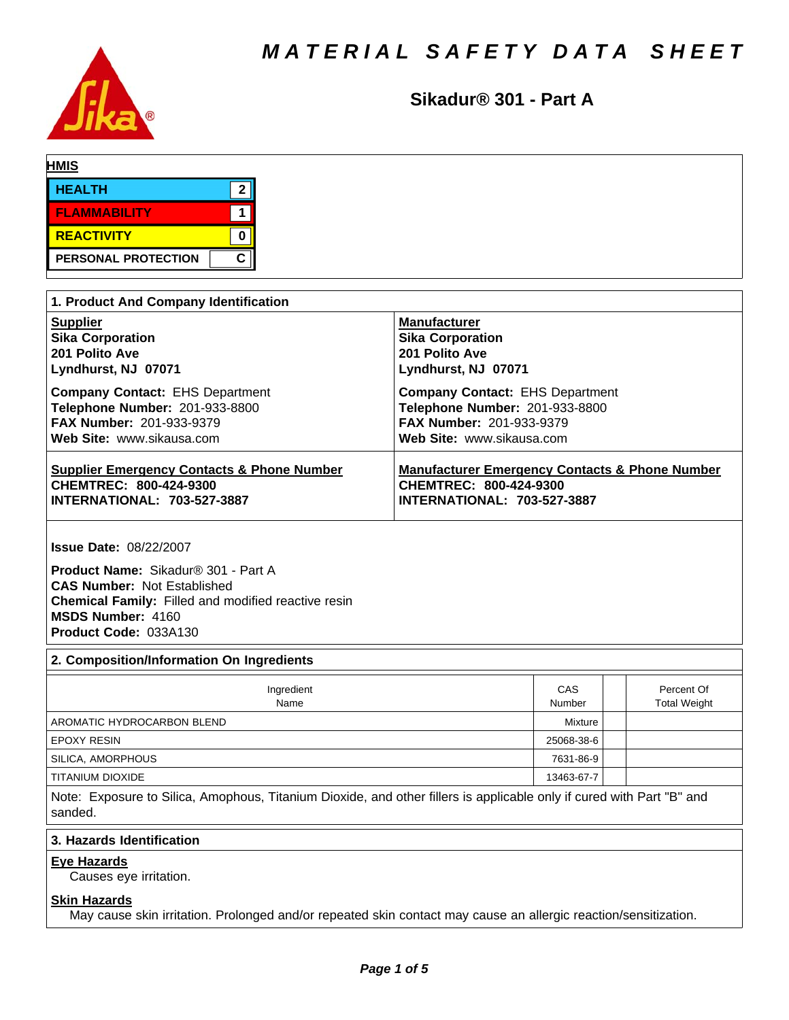

**Sikadur® 301 - Part A**

| <b>HMIS</b>         |   |
|---------------------|---|
| <b>HEALTH</b>       | ◠ |
| <b>FLAMMABILITY</b> |   |
| <b>REACTIVITY</b>   |   |
| PERSONAL PROTECTION | C |

| 1. Product And Company Identification                 |                                                           |
|-------------------------------------------------------|-----------------------------------------------------------|
| <b>Supplier</b>                                       | <b>Manufacturer</b>                                       |
| <b>Sika Corporation</b>                               | <b>Sika Corporation</b>                                   |
| 201 Polito Ave                                        | 201 Polito Ave                                            |
| Lyndhurst, NJ 07071                                   | Lyndhurst, NJ 07071                                       |
| <b>Company Contact: EHS Department</b>                | <b>Company Contact: EHS Department</b>                    |
| Telephone Number: 201-933-8800                        | Telephone Number: 201-933-8800                            |
| <b>FAX Number: 201-933-9379</b>                       | <b>FAX Number: 201-933-9379</b>                           |
| Web Site: www.sikausa.com                             | Web Site: www.sikausa.com                                 |
| <b>Supplier Emergency Contacts &amp; Phone Number</b> | <b>Manufacturer Emergency Contacts &amp; Phone Number</b> |
| CHEMTREC: 800-424-9300                                | CHEMTREC: 800-424-9300                                    |
| <b>INTERNATIONAL: 703-527-3887</b>                    | <b>INTERNATIONAL: 703-527-3887</b>                        |

**Issue Date:** 08/22/2007

**Product Name:** Sikadur®301-PartA **CAS Number:** Not Established **Chemical Family:** Filled and modified reactive resin **MSDS Number:** 4160 **Product Code:** 033A130

# **2. Composition/Information On Ingredients**

| Ingredient<br>Name         | CAS<br>Number | Percent Of<br><b>Total Weight</b> |
|----------------------------|---------------|-----------------------------------|
| AROMATIC HYDROCARBON BLEND | Mixture       |                                   |
| <b>EPOXY RESIN</b>         | 25068-38-6    |                                   |
| SILICA, AMORPHOUS          | 7631-86-9     |                                   |
| TITANIUM DIOXIDE           | 13463-67-7    |                                   |

Note: Exposure to Silica, Amophous, Titanium Dioxide, and other fillers is applicable only if cured with Part "B" and sanded.

# **3. Hazards Identification**

# **Eye Hazards**

Causes eye irritation.

# **Skin Hazards**

May cause skin irritation. Prolonged and/or repeated skin contact may cause an allergic reaction/sensitization.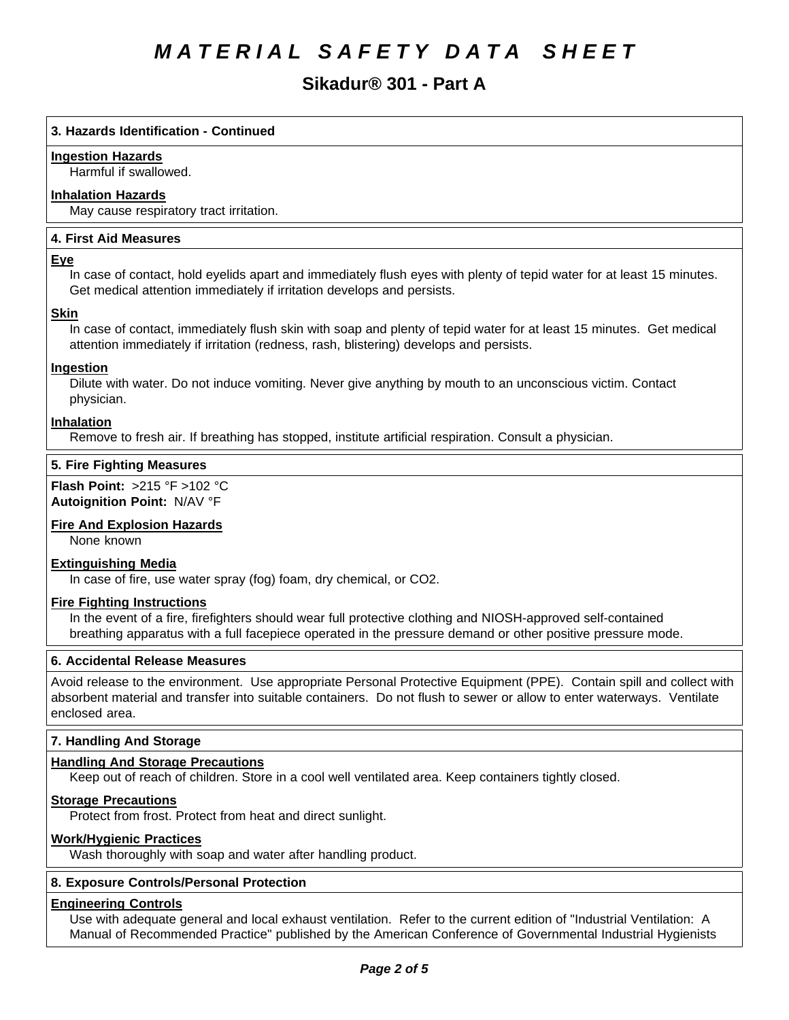# **Sikadur® 301 - Part A**

# **3. Hazards Identification - Continued**

# **Ingestion Hazards**

Harmful if swallowed.

# **Inhalation Hazards**

May cause respiratory tract irritation.

# **4.First AidMeasures**

### **Eye**

In case of contact, hold eyelids apart and immediately flush eyes with plenty of tepid water for at least 15 minutes. Get medical attention immediately if irritation develops and persists.

### **Skin**

In case of contact, immediately flush skin with soap and plenty of tepid water for at least 15 minutes. Get medical attention immediately if irritation (redness, rash, blistering) develops and persists.

# **Ingestion**

Dilute with water. Do not induce vomiting. Never give anything by mouth to an unconscious victim. Contact physician.

### **Inhalation**

Remove to fresh air. If breathing has stopped, institute artificial respiration. Consult a physician.

### **5. Fire Fighting Measures**

**Flash Point:** >215°F>102°C **Autoignition Point:** N/AV°F

# **Fire And Explosion Hazards**

None known

#### **Extinguishing Media**

In case of fire, use water spray (fog) foam, dry chemical, or CO2.

# **Fire Fighting Instructions**

In the event of a fire, firefighters should wear full protective clothing and NIOSH-approved self-contained breathing apparatus with a full facepiece operated in the pressure demand or other positive pressure mode.

# **6. Accidental Release Measures**

Avoid release to the environment. Use appropriate Personal Protective Equipment (PPE). Contain spill and collect with absorbent material and transfer into suitable containers. Do not flush to sewer or allow to enter waterways. Ventilate enclosed area.

# **7. Handling And Storage**

# **Handling And Storage Precautions**

Keep out of reach of children. Store in a cool well ventilated area. Keep containers tightly closed.

# **Storage Precautions**

Protect from frost. Protect from heat and direct sunlight.

# **Work/Hygienic Practices**

Wash thoroughly with soap and water after handling product.

# **8. Exposure Controls/Personal Protection**

# **Engineering Controls**

Use with adequate general and local exhaust ventilation. Refer to the current edition of "Industrial Ventilation: A Manual of Recommended Practice" published by the American Conference of Governmental Industrial Hygienists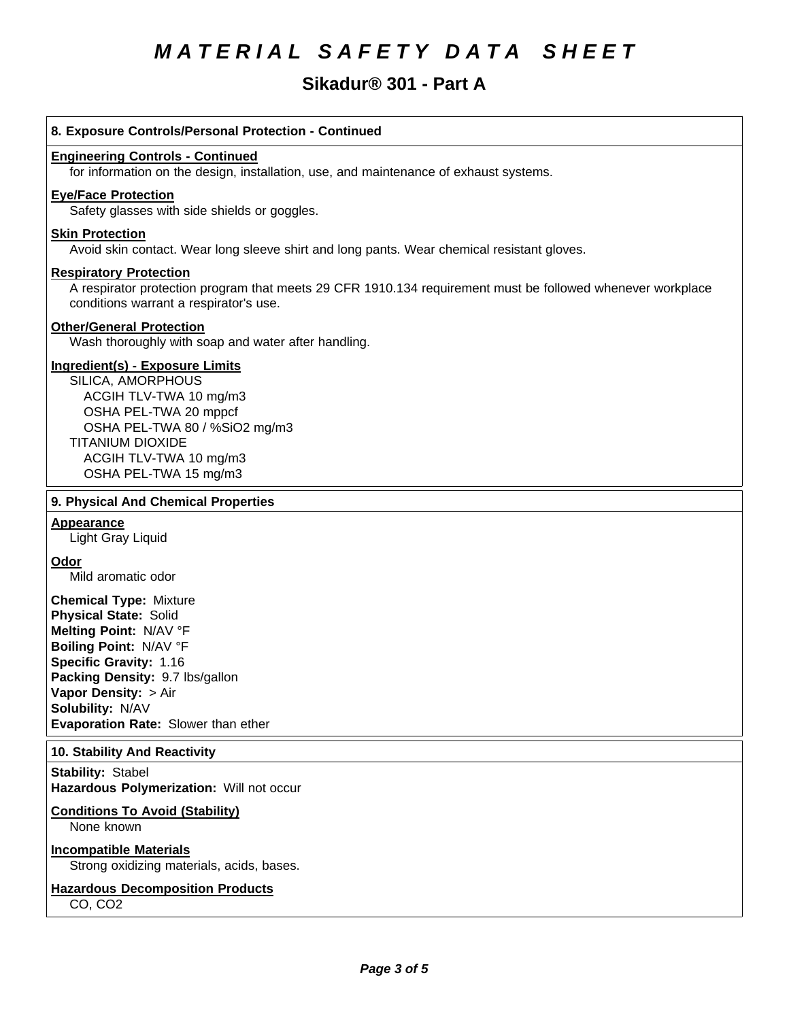# **Sikadur® 301 - Part A**

# **8. Exposure Controls/Personal Protection - Continued Engineering Controls - Continued** for information on the design, installation, use, and maintenance of exhaust systems. **Eye/Face Protection** Safety glasses with side shields or goggles. **Skin Protection** Avoid skin contact. Wear long sleeve shirt and long pants. Wear chemical resistant gloves. **Respiratory Protection** A respirator protection program that meets 29 CFR 1910.134 requirement must be followed whenever workplace conditions warrant a respirator's use. **Other/General Protection** Wash thoroughly with soap and water after handling. **Ingredient(s) - Exposure Limits** SILICA, AMORPHOUS ACGIH TLV-TWA10 mg/m3 OSHA PEL-TWA 20 mppcf OSHA PEL-TWA 80 / %SiO2 mg/m3 TITANIUM DIOXIDE ACGIH TLV-TWA10 mg/m3 OSHA PEL-TWA 15 mg/m3 **9. Physical And Chemical Properties Appearance** Light Gray Liquid **Odor** Mild aromatic odor **Chemical Type:** Mixture **Physical State:** Solid **Melting Point:** N/AV°F **Boiling Point:** N/AV°F **Specific Gravity:** 1.16 **Packing Density:** 9.7 lbs/gallon **Vapor Density: > Air Solubility: N/AV Evaporation Rate:** Slower than ether **10. Stability And Reactivity Stability: Stabel**

**Hazardous Polymerization: Will not occur** 

#### **Conditions To Avoid (Stability)**

None known

# **Incompatible Materials**

Strong oxidizing materials, acids, bases.

#### **Hazardous Decomposition Products**

CO, CO2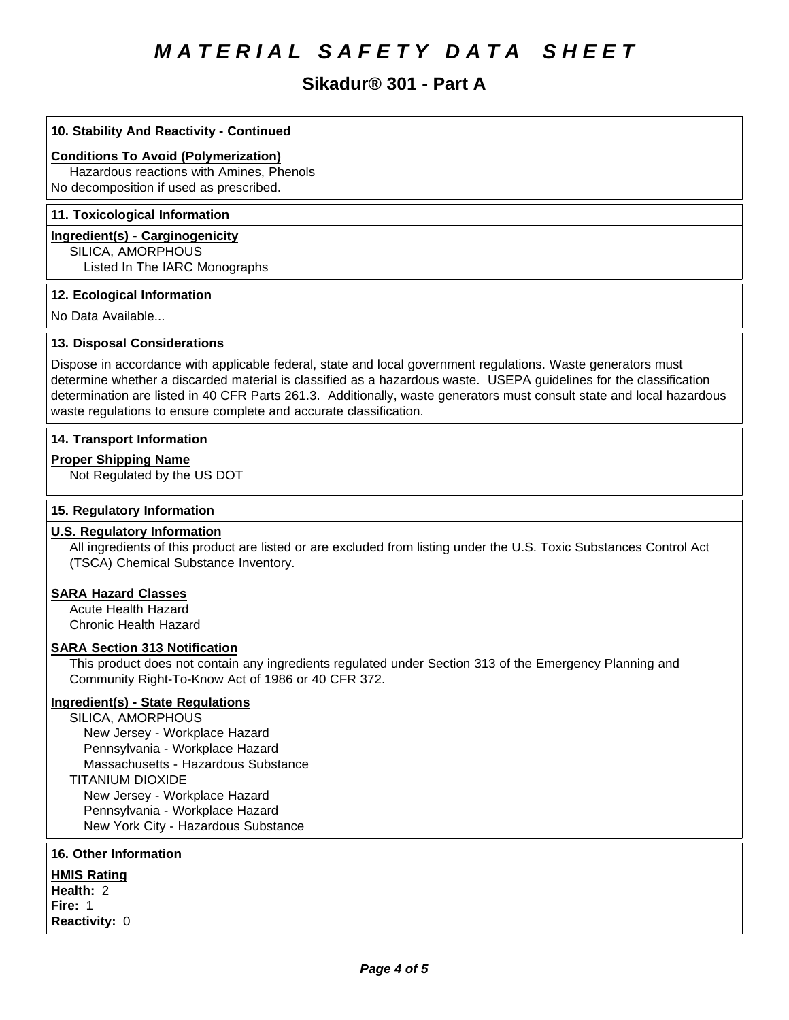# **Sikadur® 301 - Part A**

# **10. Stability And Reactivity - Continued**

# **Conditions To Avoid (Polymerization)**

Hazardous reactions with Amines, Phenols No decomposition if used as prescribed.

### **11. Toxicological Information**

### **Ingredient(s) - Carginogenicity**

SILICA, AMORPHOUS

Listed In The IARC Monographs

### **12. Ecological Information**

No Data Available...

### **13. Disposal Considerations**

Dispose in accordance with applicable federal, state and local government regulations. Waste generators must determine whether a discarded material is classified as a hazardous waste. USEPA guidelines for the classification determination are listed in 40 CFR Parts 261.3. Additionally, waste generators must consult state and local hazardous waste regulations to ensure complete and accurate classification.

### **14. Transport Information**

### **Proper Shipping Name**

Not Regulated by the US DOT

# **15. Regulatory Information**

### **U.S. Regulatory Information**

All ingredients of this product are listed or are excluded from listing under the U.S. Toxic Substances Control Act (TSCA) Chemical Substance Inventory.

### **SARA Hazard Classes**

Acute Health Hazard Chronic Health Hazard

#### **SARA Section 313 Notification**

This product does not contain any ingredients regulated under Section 313 of the Emergency Planning and Community Right-To-Know Act of 1986 or 40 CFR 372.

# **Ingredient(s) - State Regulations**

SILICA, AMORPHOUS New Jersey - Workplace Hazard Pennsylvania - Workplace Hazard Massachusetts - Hazardous Substance TITANIUM DIOXIDE New Jersey - Workplace Hazard Pennsylvania - Workplace Hazard New York City - Hazardous Substance

# **16. Other Information**

**HMIS Rating Health: 2 Fire: 1 Reactivity: 0**